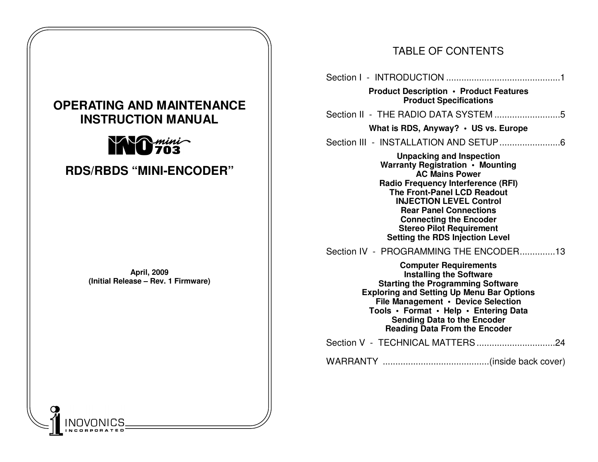# **OPERATING AND MAINTENANCE INSTRUCTION MANUAL NO** mini **RDS/RBDS "MINI-ENCODER" April, 2009 (Initial Release – Rev. 1 Firmware)** O

# TABLE OF CONTENTS

| <b>Product Description • Product Features</b><br><b>Product Specifications</b>                                                                                                                                                                                                                                                                                   |
|------------------------------------------------------------------------------------------------------------------------------------------------------------------------------------------------------------------------------------------------------------------------------------------------------------------------------------------------------------------|
|                                                                                                                                                                                                                                                                                                                                                                  |
| What is RDS, Anyway? $\cdot$ US vs. Europe                                                                                                                                                                                                                                                                                                                       |
|                                                                                                                                                                                                                                                                                                                                                                  |
| <b>Unpacking and Inspection</b><br>Warranty Registration • Mounting<br><b>AC Mains Power</b><br><b>Radio Frequency Interference (RFI)</b><br><b>The Front-Panel LCD Readout</b><br><b>INJECTION LEVEL Control</b><br><b>Rear Panel Connections</b><br><b>Connecting the Encoder</b><br><b>Stereo Pilot Requirement</b><br><b>Setting the RDS Injection Level</b> |
| Section IV - PROGRAMMING THE ENCODER13                                                                                                                                                                                                                                                                                                                           |
| <b>Computer Requirements</b><br><b>Installing the Software</b><br><b>Starting the Programming Software</b><br><b>Exploring and Setting Up Menu Bar Options</b><br>File Management • Device Selection<br>Tools • Format • Help • Entering Data<br><b>Sending Data to the Encoder</b><br><b>Reading Data From the Encoder</b>                                      |
|                                                                                                                                                                                                                                                                                                                                                                  |
|                                                                                                                                                                                                                                                                                                                                                                  |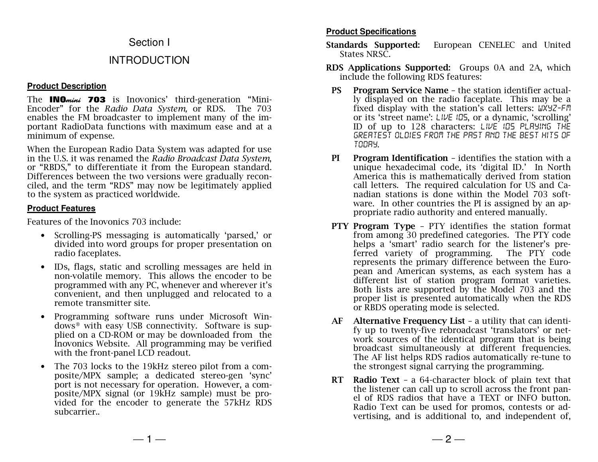## Section I

# INTRODUCTION

#### **Product Description**

The **INO**<sub>mini</sub> 703 is Inovonics' third-generation "Mini-Encoder" for the *Radio Data System,* or RDS. The 703 enables the FM broadcaster to implement many of the important RadioData functions with maximum ease and at a minimum of expense.

When the European Radio Data System was adapted for use in the U.S. it was renamed the *Radio Broadcast Data System*, or "RBDS," to differentiate it from the European standard. Differences between the two versions were gradually reconciled, and the term "RDS" may now be legitimately applied to the system as practiced worldwide.

#### **Product Features**

Features of the Inovonics 703 include:

- Scrolling-PS messaging is automatically 'parsed,' or divided into word groups for proper presentation onradio faceplates.
- $\bullet$  IDs, flags, static and scrolling messages are held in non-volatile memory. This allows the encoder to be programmed with any PC, whenever and wherever it's convenient, and then unplugged and relocated to a remote transmitter site.
- • Programming software runs under Microsoft Windows® with easy USB connectivity. Software is supplied on a CD-ROM or may be downloaded from the Inovonics Website. All programming may be verifiedwith the front-panel LCD readout.
- $\bullet$  The 703 locks to the 19kHz stereo pilot from a composite/MPX sample; a dedicated stereo-gen 'sync' port is not necessary for operation. However, a composite/MPX signal (or 19kHz sample) must be provided for the encoder to generate the 57kHz RDS subcarrier..

#### **Product Specifications**

- **Standards Supported:** European CENELEC and United States NRSC.
- **RDS Applications Supported:** Groups 0A and 2A, which include the following RDS features:
- **PS Program Service Name**  the station identifier actually displayed on the radio faceplate. This may be a fixed display with the station's call letters: *WXYZ-FM* or its 'street name': *LIVE 105*, or a dynamic, 'scrolling' ID of up to 128 characters: *LIVE 105 PLAYING THE GREATEST OLDIES from THE PAST AND THE BEST HITS OF TODAY*.
- **PI Program Identification**  identifies the station with a unique hexadecimal code, its 'digital ID.' In North America this is mathematically derived from station call letters. The required calculation for US and Canadian stations is done within the Model 703 software. In other countries the PI is assigned by an appropriate radio authority and entered manually.
- **PTY Program Type**  PTY identifies the station format from among 30 predefined categories. The PTY code helps a 'smart' radio search for the listener's pre ferred variety of programming. The PTY code represents the primary difference between the European and American systems, as each system has a different list of station program format varieties. Both lists are supported by the Model 703 and the proper list is presented automatically when the RDSor RBDS operating mode is selected.
- **AF Alternative Frequency List**  a utility that can identify up to twenty-five rebroadcast 'translators' or network sources of the identical program that is being broadcast simultaneously at different frequencies. The AF list helps RDS radios automatically re-tune to the strongest signal carrying the programming.
- **RT Radio Text**  a 64-character block of plain text that the listener can call up to scroll across the front panel of RDS radios that have a TEXT or INFO button. Radio Text can be used for promos, contests or advertising, and is additional to, and independent of,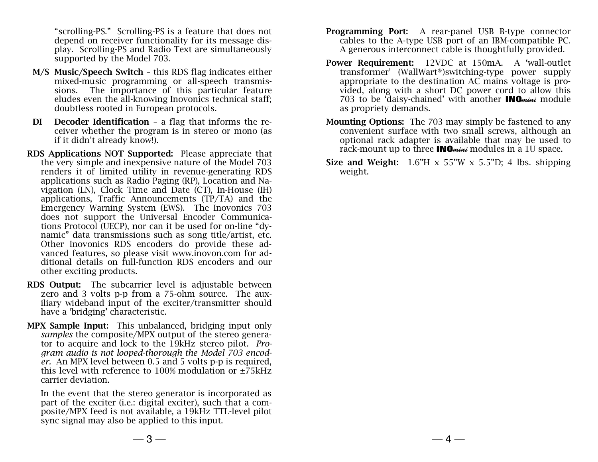"scrolling-PS." Scrolling-PS is a feature that does not depend on receiver functionality for its message display. Scrolling-PS and Radio Text are simultaneously supported by the Model 703.

- **M/S Music/Speech Switch**  this RDS flag indicates either mixed-music programming or all-speech transmissions. The importance of this particular feature eludes even the all-knowing Inovonics technical staff; doubtless rooted in European protocols.
- **DI Decoder Identification**  a flag that informs the receiver whether the program is in stereo or mono (asif it didn't already know!).
- **RDS Applications NOT Supported:** Please appreciate that the very simple and inexpensive nature of the Model 703 renders it of limited utility in revenue-generating RDS applications such as Radio Paging (RP), Location and Navigation (LN), Clock Time and Date (CT), In-House (IH) applications, Traffic Announcements (TP/TA) and the Emergency Warning System (EWS). The Inovonics 703 does not support the Universal Encoder Communications Protocol (UECP), nor can it be used for on-line "dynamic" data transmissions such as song title/artist, etc. Other Inovonics RDS encoders do provide these advanced features, so please visit www.inovon.com for additional details on full-function RDS encoders and our other exciting products.
- **RDS Output:** The subcarrier level is adjustable between zero and 3 volts p-p from a 75-ohm source. The aux iliary wideband input of the exciter/transmitter should have a 'bridging' characteristic.
- **MPX Sample Input:** This unbalanced, bridging input only *samples* the composite/MPX output of the stereo generator to acquire and lock to the 19kHz stereo pilot. *Program audio is not looped-thorough the Model 703 encoder.* An MPX level between 0.5 and 5 volts p-p is required, this level with reference to 100% modulation or ±75kHz carrier deviation.

In the event that the stereo generator is incorporated as part of the exciter (i.e.: digital exciter), such that a composite/MPX feed is not available, a 19kHz TTL-level pilot sync signal may also be applied to this input.

- **Programming Port:** A rear-panel USB B-type connector cables to the A-type USB port of an IBM-compatible PC. A generous interconnect cable is thoughtfully provided.
- **Power Requirement:** 12VDC at 150mA. A 'wall-outlet transformer' (WallWart®)switching-type power supply appropriate to the destination AC mains voltage is provided, along with a short DC power cord to allow this 703 to be 'daisy-chained' with another **INO**mini module as propriety demands.
- **Mounting Options:** The 703 may simply be fastened to any convenient surface with two small screws, although an optional rack adapter is available that may be used to rack-mount up to three **INO**<sub>mini</sub> modules in a 1U space.
- **Size and Weight:** 1.6"H x 55"W x 5.5"D; 4 lbs. shipping weight.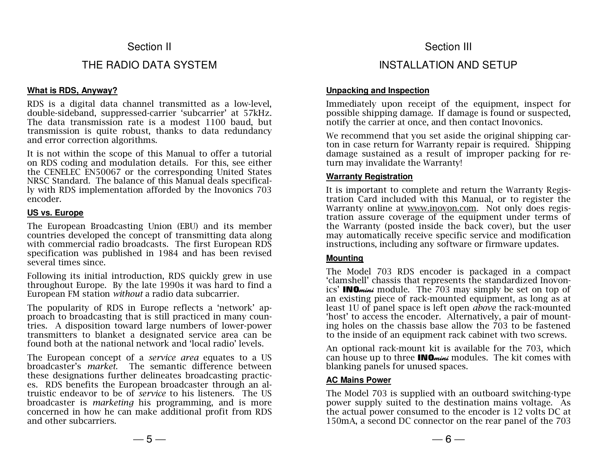# Section II

# THE RADIO DATA SYSTEM

#### **What is RDS, Anyway?**

 RDS is a digital data channel transmitted as a low-level, double-sideband, suppressed-carrier 'subcarrier' at 57kHz. The data transmission rate is a modest 1100 baud, but transmission is quite robust, thanks to data redundancy and error correction algorithms.

It is not within the scope of this Manual to offer a tutorial on RDS coding and modulation details. For this, see either the CENELEC EN50067 or the corresponding United States NRSC Standard. The balance of this Manual deals specifically with RDS implementation afforded by the Inovonics 703 encoder.

#### **US vs. Europe**

The European Broadcasting Union (EBU) and its member countries developed the concept of transmitting data along with commercial radio broadcasts. The first European RDS specification was published in 1984 and has been revised several times since.

Following its initial introduction, RDS quickly grew in use throughout Europe. By the late 1990s it was hard to find a European FM station *without* a radio data subcarrier.

The popularity of RDS in Europe reflects a 'network' approach to broadcasting that is still practiced in many countries. A disposition toward large numbers of lower-power transmitters to blanket a designated service area can be found both at the national network and 'local radio' levels.

The European concept of a *service area* equates to a US broadcaster's *market*. The semantic difference between these designations further delineates broadcasting practices. RDS benefits the European broadcaster through an altruistic endeavor to be of *service* to his listeners. The US broadcaster is *marketing* his programming, and is more concerned in how he can make additional profit from RDS and other subcarriers.

### Section III

# INSTALLATION AND SETUP

#### **Unpacking and Inspection**

 Immediately upon receipt of the equipment, inspect for possible shipping damage. If damage is found or suspected, notify the carrier at once, and then contact Inovonics.

We recommend that you set aside the original shipping carton in case return for Warranty repair is required. Shipping damage sustained as a result of improper packing for return may invalidate the Warranty!

#### **Warranty Registration**

It is important to complete and return the Warranty Registration Card included with this Manual, or to register the Warranty online at <u>www.inovon.com</u>. Not only does registration assure coverage of the equipment under terms of the Warranty (posted inside the back cover), but the user may automatically receive specific service and modification instructions, including any software or firmware updates.

#### **Mounting**

The Model 703 RDS encoder is packaged in a compact 'clamshell' chassis that represents the standardized Inovonics' INOmini module. The 703 may simply be set on top of an existing piece of rack-mounted equipment, as long as at least 1U of panel space is left open *above* the rack-mounted 'host' to access the encoder. Alternatively, a pair of mounting holes on the chassis base allow the 703 to be fastened to the inside of an equipment rack cabinet with two screws.

An optional rack-mount kit is available for the 703, which can house up to three **INO***mini* modules. The kit comes with blanking panels for unused spaces.

#### **AC Mains Power**

The Model 703 is supplied with an outboard switching-type power supply suited to the destination mains voltage. As the actual power consumed to the encoder is 12 volts DC at 150mA, a second DC connector on the rear panel of the 703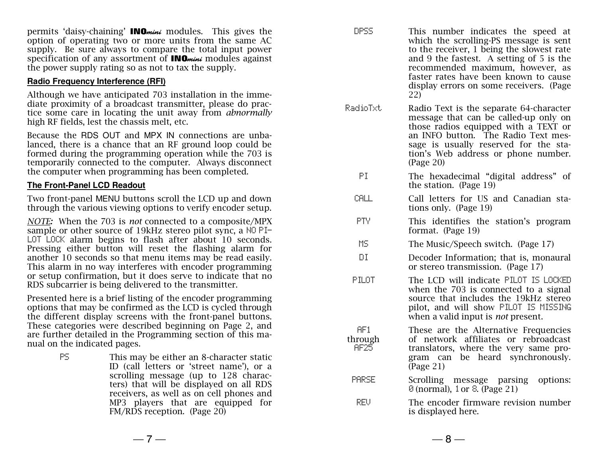permits 'daisy-chaining' **INO***mini* modules. This gives the option of operating two or more units from the same AC supply. Be sure always to compare the total input power specification of any assortment of **INO**<sub>mini</sub> modules against the power supply rating so as not to tax the supply.

#### **Radio Frequency Interference (RFI)**

Although we have anticipated 703 installation in the immediate proximity of a broadcast transmitter, please do practice some care in locating the unit away from *abnormally*high RF fields, lest the chassis melt, etc.

Because the RDS OUT and MPX IN connections are unbalanced, there is a chance that an RF ground loop could be formed during the programming operation while the 703 is temporarily connected to the computer. Always disconnect the computer when programming has been completed.

#### **The Front-Panel LCD Readout**

Two front-panel MENU buttons scroll the LCD up and down through the various viewing options to verify encoder setup.

*NOTE:* When the 703 is *not* connected to a composite/MPX sample or other source of 19kHz stereo pilot sync, a NO PI-LOT LOCK alarm begins to flash after about 10 seconds. Pressing either button will reset the flashing alarm for another 10 seconds so that menu items may be read easily. This alarm in no way interferes with encoder programming or setup confirmation, but it does serve to indicate that no RDS subcarrier is being delivered to the transmitter.

Presented here is a brief listing of the encoder programming options that may be confirmed as the LCD is cycled through the different display screens with the front-panel buttons. These categories were described beginning on Page 2, and are further detailed in the Programming section of this manual on the indicated pages.

> $PS$  This may be either an 8-character static ID (call letters or 'street name'), or a scrolling message (up to 128 characters) that will be displayed on all RDS receivers, as well as on cell phones and MP3 players that are equipped for FM/RDS reception. (Page 20)

AF1 through AF25

DPSS This number indicates the speed at which the scrolling-PS message is sent to the receiver, 1 being the slowest rate and 9 the fastest. A setting of 5 is the recommended maximum, however, as faster rates have been known to cause display errors on some receivers. (Page 22)

RadioTxt Radio Text is the separate 64-character message that can be called-up only on those radios equipped with a TEXT or an INFO button. The Radio Text message is usually reserved for the station's Web address or phone number. (Page 20)

- PI The hexadecimal "digital address" of the station. (Page 19)
- CALL Call letters for US and Canadian stations only. (Page 19)
- PTY This identifies the station's program format. (Page 19)
- MS The Music/Speech switch. (Page 17)
- DI Decoder Information; that is, monaural or stereo transmission. (Page 17)
- PILOT The LCD will indicate PILOT IS LOCKED when the 703 is connected to a signal source that includes the 19kHz stereo pilot, and will show PILOT IS MISSINGwhen a valid input is *not* present.

These are the Alternative Frequencies of network affiliates or rebroadcast translators, where the very same program can be heard synchronously. (Page 21)

- PARSE Scrolling message parsing options: $\odot$  (normal), 1 or  $\odot$  (Page 21)
- REV The encoder firmware revision number is displayed here.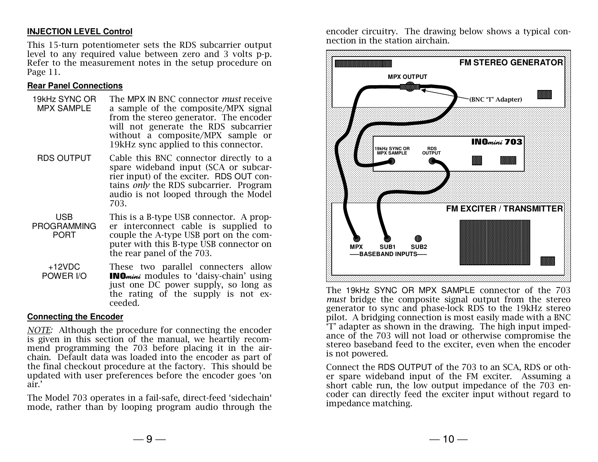#### **INJECTION LEVEL Control**

This 15-turn potentiometer sets the RDS subcarrier output level to any required value between zero and 3 volts p-p. Refer to the measurement notes in the setup procedure on Page 11.

#### **Rear Panel Connections**

- 19kHz SYNC OR MPX SAMPLE The MPX IN BNC connector *must* receive a sample of the composite/MPX signal from the stereo generator. The encoder will not generate the RDS subcarrier without a composite/MPX sample or 19kHz sync applied to this connector.
- RDS OUTPUT Cable this BNC connector directly to a spare wideband input (SCA or subcarrier input) of the exciter. RDS OUT contains *only* the RDS subcarrier. Program audio is not looped through the Model 703.
- USB PROGRAMMING PORT This is a B-type USB connector. A proper interconnect cable is supplied to couple the A-type USB port on the computer with this B-type USB connector on the rear panel of the 703.
- $+12VDC$  POWER I/O These two parallel connecters allow **INO**mini modules to 'daisy-chain' using just one DC power supply, so long as the rating of the supply is not exceeded.

#### **Connecting the Encoder**

*NOTE:* Although the procedure for connecting the encoder is given in this section of the manual, we heartily recommend programming the 703 before placing it in the airchain. Default data was loaded into the encoder as part of the final checkout procedure at the factory. This should be updated with user preferences before the encoder goes 'on air.'

The Model 703 operates in a fail-safe, direct-feed 'sidechain' mode, rather than by looping program audio through the encoder circuitry. The drawing below shows a typical connection in the station airchain.



The 19kHz SYNC OR MPX SAMPLE connector of the 703 *must* bridge the composite signal output from the stereo generator to sync and phase-lock RDS to the 19kHz stereo pilot. A bridging connection is most easily made with a BNC 'T' adapter as shown in the drawing. The high input impedance of the 703 will not load or otherwise compromise the stereo baseband feed to the exciter, even when the encoder is not powered.

Connect the RDS OUTPUT of the 703 to an SCA, RDS or other spare wideband input of the FM exciter. Assuming a short cable run, the low output impedance of the 703 encoder can directly feed the exciter input without regard to impedance matching.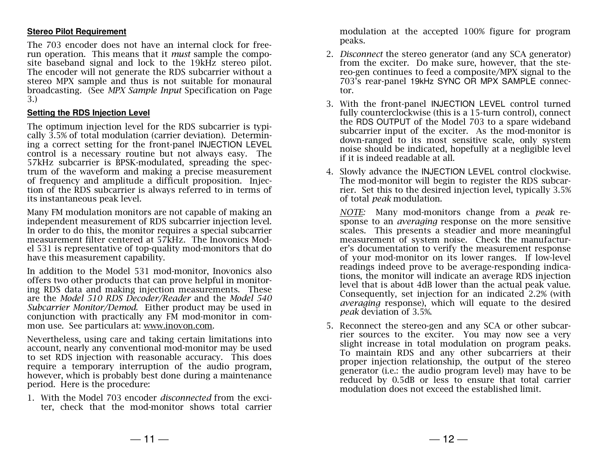#### **Stereo Pilot Requirement**

The 703 encoder does not have an internal clock for freerun operation. This means that it *must* sample the composite baseband signal and lock to the 19kHz stereo pilot. The encoder will not generate the RDS subcarrier without a stereo MPX sample and thus is not suitable for monaural broadcasting. (See *MPX Sample Input* Specification on Page 3.)

#### **Setting the RDS Injection Level**

The optimum injection level for the RDS subcarrier is typically 3.5% of total modulation (carrier deviation). Determining a correct setting for the front-panel INJECTION LEVEL control is a necessary routine but not always easy. The 57kHz subcarrier is BPSK-modulated, spreading the spectrum of the waveform and making a precise measurement of frequency and amplitude a difficult proposition. Injection of the RDS subcarrier is always referred to in terms of its instantaneous peak level.

Many FM modulation monitors are not capable of making an independent measurement of RDS subcarrier injection level. In order to do this, the monitor requires a special subcarrier measurement filter centered at 57kHz. The Inovonics Model 531 is representative of top-quality mod-monitors that do have this measurement capability.

In addition to the Model 531 mod-monitor, Inovonics also offers two other products that can prove helpful in monitoring RDS data and making injection measurements. These are the *Model 510 RDS Decoder/Reader* and the *Model 540 Subcarrier Monitor/Demod.* Either product may be used in conjunction with practically any FM mod-monitor in common use. See particulars at: www.inovon.com.

Nevertheless, using care and taking certain limitations into account, nearly any conventional mod-monitor may be used to set RDS injection with reasonable accuracy. This does require a temporary interruption of the audio program, however, which is probably best done during a maintenance period. Here is the procedure:

1. With the Model 703 encoder *disconnected* from the exciter, check that the mod-monitor shows total carrier modulation at the accepted 100% figure for program peaks.

- 2. *Disconnect* the stereo generator (and any SCA generator) from the exciter. Do make sure, however, that the stereo-gen continues to feed a composite/MPX signal to the 703's rear-panel 19kHz SYNC OR MPX SAMPLE connector.
- 3. With the front-panel INJECTION LEVEL control turned fully counterclockwise (this is a 15-turn control), connect the RDS OUTPUT of the Model 703 to a spare wideband subcarrier input of the exciter. As the mod-monitor is down-ranged to its most sensitive scale, only system noise should be indicated, hopefully at a negligible level if it is indeed readable at all.
- 4. Slowly advance the INJECTION LEVEL control clockwise. The mod-monitor will begin to register the RDS subcarrier. Set this to the desired injection level, typically 3.5% of total *peak* modulation.

*NOTE:* Many mod-monitors change from a *peak* response to an *averaging* response on the more sensitive scales. This presents a steadier and more meaningful measurement of system noise. Check the manufacturer's documentation to verify the measurement response of your mod-monitor on its lower ranges. If low-level readings indeed prove to be average-responding indications, the monitor will indicate an average RDS injection level that is about 4dB lower than the actual peak value. Consequently, set injection for an indicated 2.2% (with *averaging* response), which will equate to the desired *peak* deviation of 3.5%.

5. Reconnect the stereo-gen and any SCA or other subcarrier sources to the exciter. You may now see a very slight increase in total modulation on program peaks. To maintain RDS and any other subcarriers at their proper injection relationship, the output of the stereo generator (i.e.: the audio program level) may have to be reduced by 0.5dB or less to ensure that total carrier modulation does not exceed the established limit.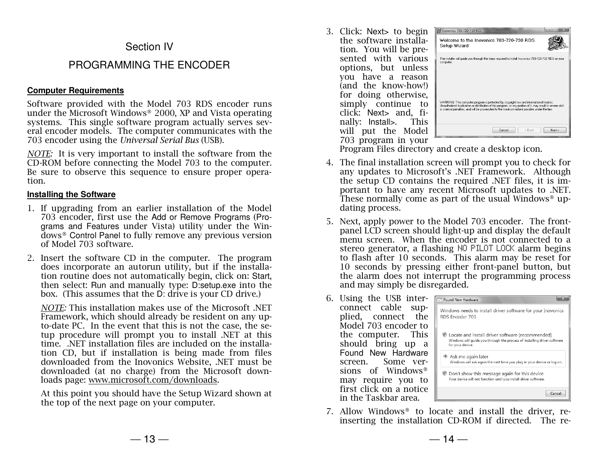# Section IV

# PROGRAMMING THE ENCODER

#### **Computer Requirements**

Software provided with the Model 703 RDS encoder runs under the Microsoft Windows® 2000, XP and Vista operating systems. This single software program actually serves several encoder models. The computer communicates with the 703 encoder using the *Universal Serial Bus* (USB).

*NOTE:* It is very important to install the software from the CD-ROM before connecting the Model 703 to the computer. Be sure to observe this sequence to ensure proper operation.

#### **Installing the Software**

- 1. If upgrading from an earlier installation of the Model 703 encoder, first use the Add or Remove Programs (Programs and Features under Vista) utility under the Windows® Control Panel to fully remove any previous version of Model 703 software.
- 2. Insert the software CD in the computer. The program does incorporate an autorun utility, but if the installation routine does not automatically begin, click on: Start, then select: Run and manually type: D:setup.exe into the box. (This assumes that the D: drive is your CD drive.)

*NOTE:* This installation makes use of the Microsoft .NET Framework, which should already be resident on any upto-date PC. In the event that this is not the case, the setup procedure will prompt you to install .NET at this time. .NET installation files are included on the installation CD, but if installation is being made from files downloaded from the Inovonics Website, .NET must be downloaded (at no charge) from the Microsoft downloads page: www.microsoft.com/downloads.

At this point you should have the Setup Wizard shown at the top of the next page on your computer.

3. Click: Next> to begin the software installation. You will be presented with various options, but unless you have a reason (and the know-how!) for doing otherwise, simply continue to click: Next> and, finally: Install>. This will put the Model 703 program in your



Program Files directory and create a desktop icon.

- 4. The final installation screen will prompt you to check for any updates to Microsoft's .NET Framework. Although the setup CD contains the required .NET files, it is important to have any recent Microsoft updates to .NET. These normally come as part of the usual Windows® updating process.
- 5. Next, apply power to the Model 703 encoder. The frontpanel LCD screen should light-up and display the default menu screen. When the encoder is not connected to a stereo generator, a flashing NO PILOT LOCK alarm begins to flash after 10 seconds. This alarm may be reset for 10 seconds by pressing either front-panel button, but the alarm does not interrupt the programming process and may simply be disregarded.
- 6. Using the USB interconnect cable supplied, connect the Model 703 encoder to the computer. This should bring up a Found New Hardware screen. Some versions of Windows® may require you to first click on a notice in the Taskbar area.

| Found New Hardware                                                                                                                               |
|--------------------------------------------------------------------------------------------------------------------------------------------------|
| Windows needs to install driver software for your Inovonics<br>RDS Encoder 703                                                                   |
| Locate and install driver software (recommended)<br>Windows will quide you through the process of installing driver software<br>for your device. |
| $\rightarrow$ Ask me again later<br>Windows will ask again the next time you plug in your device or log on.                                      |
| Don't show this message again for this device<br>Your device will not function until you install driver software.                                |
| Cancel                                                                                                                                           |

7. Allow Windows® to locate and install the driver, reinserting the installation CD-ROM if directed. The re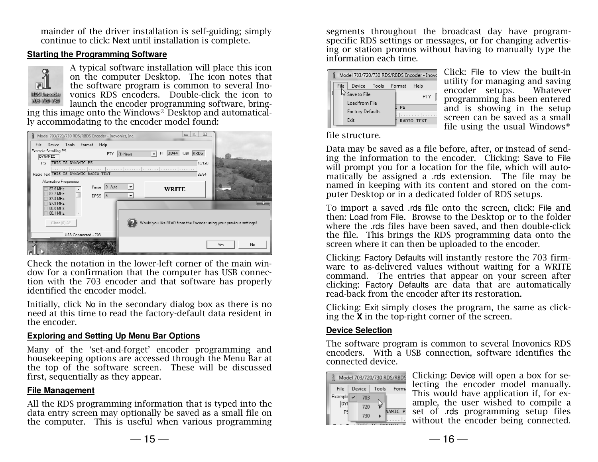mainder of the driver installation is self-guiding; simply continue to click: Next until installation is complete.

#### **Starting the Programming Software**



A typical software installation will place this icon on the computer Desktop. The icon notes that the software program is common to several Inovonics RDS encoders. Double-click the icon to launch the encoder programming software, bringing this image onto the Windows® Desktop and automatical-

ly accommodating to the encoder model found:



Check the notation in the lower-left corner of the main window for a confirmation that the computer has USB connection with the 703 encoder and that software has properly identified the encoder model.

Initially, click No in the secondary dialog box as there is no need at this time to read the factory-default data resident in the encoder.

#### **Exploring and Setting Up Menu Bar Options**

Many of the 'set-and-forget' encoder programming and housekeeping options are accessed through the Menu Bar at the top of the software screen. These will be discussed first, sequentially as they appear.

#### **File Management**

All the RDS programming information that is typed into the data entry screen may optionally be saved as a small file on the computer. This is useful when various programming

segments throughout the broadcast day have programspecific RDS settings or messages, or for changing advertising or station promos without having to manually type the information each time.

|      | Model 703/720/730 RDS/RBDS Encoder - Inovo                        |  |  |  |                   |  |
|------|-------------------------------------------------------------------|--|--|--|-------------------|--|
| File | Device Tools Format                                               |  |  |  | Help              |  |
|      | Save to File<br>Load from File<br><b>Factory Defaults</b><br>Fxit |  |  |  | PTY<br>RADIO TEXT |  |

Click: File to view the built-in utility for managing and saving Whatever encoder setups. programming has been entered and is showing in the setup screen can be saved as a small file using the usual Windows®

file structure.

Data may be saved as a file before, after, or instead of sending the information to the encoder. Clicking: Save to File will prompt you for a location for the file, which will automatically be assigned a .rds extension. The file may be named in keeping with its content and stored on the computer Desktop or in a dedicated folder of RDS setups.

To import a saved .rds file onto the screen, click: File and then: Load from File. Browse to the Desktop or to the folder where the .rds files have been saved, and then double-click the file. This brings the RDS programming data onto the screen where it can then be uploaded to the encoder.

Clicking: Factory Defaults will instantly restore the 703 firmware to as-delivered values without waiting for a WRITE command. The entries that appear on your screen after clicking: Factory Defaults are data that are automatically read-back from the encoder after its restoration.

Clicking: Exit simply closes the program, the same as clicking the **X** in the top-right corner of the screen.

#### **Device Selection**

The software program is common to several Inovonics RDS encoders. With a USB connection, software identifies the connected device.

| Model 703/720/730 RDS/RBDS |              |        |       |         |  |  |  |
|----------------------------|--------------|--------|-------|---------|--|--|--|
| File                       |              | Device | Tools | - Forma |  |  |  |
| Example                    | $\checkmark$ | 703    |       |         |  |  |  |
|                            |              | 720    |       | NAMIC P |  |  |  |
| P                          |              | 730    |       |         |  |  |  |
|                            |              |        |       |         |  |  |  |

Clicking: Device will open a box for selecting the encoder model manually. This would have application if, for example, the user wished to compile a set of .rds programming setup files without the encoder being connected.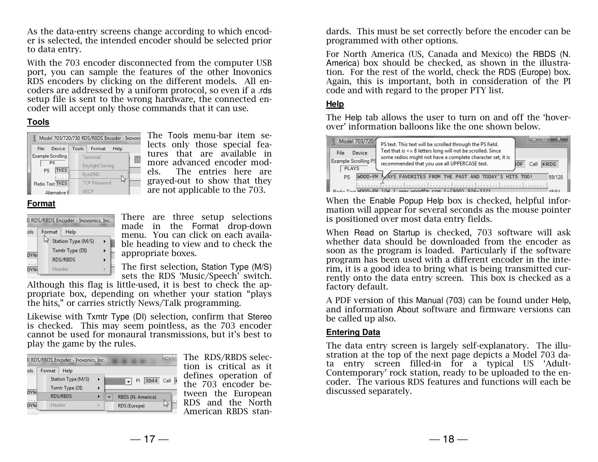As the data-entry screens change according to which encoder is selected, the intended encoder should be selected prior to data entry.

With the 703 encoder disconnected from the computer USB port, you can sample the features of the other Inovonics RDS encoders by clicking on the different models. All encoders are addressed by a uniform protocol, so even if a .rds setup file is sent to the wrong hardware, the connected encoder will accept only those commands that it can use.

#### **Tools**

| Model 703/720/730 RDS/RBDS Encoder - Inovoni |                           |  |  |  |  |
|----------------------------------------------|---------------------------|--|--|--|--|
| Device<br>File                               | Tools  <br>Format<br>Help |  |  |  |  |
| Example Scrolling                            | Terminal                  |  |  |  |  |
| P.S                                          | Daylight Saving           |  |  |  |  |
| <b>THIS</b><br>PS.                           | DynDNS                    |  |  |  |  |
| Radio Text THIS                              | <b>TCP Password</b>       |  |  |  |  |
| Alternative Fl                               | UECP                      |  |  |  |  |

The Tools menu-bar item selects only those special features that are available in more advanced encoder models. The entries here are grayed-out to show that they are not applicable to the 703.

#### **Format**

| 0 RDS/RBDS Encoder - Inovonics, Inc. |                    |  |  |  |  |
|--------------------------------------|--------------------|--|--|--|--|
| ols                                  | Format<br>Help     |  |  |  |  |
|                                      | Station Type (M/S) |  |  |  |  |
| DYNA                                 | Txmtr Type (DI)    |  |  |  |  |
|                                      | RDS/RBDS           |  |  |  |  |
|                                      | Header             |  |  |  |  |

There are three setup selections made in the Format drop-down menu. You can click on each available heading to view and to check the appropriate boxes.

The first selection, Station Type (M/S)sets the RDS 'Music/Speech' switch.

 Although this flag is little-used, it is best to check the appropriate box, depending on whether your station "plays the hits," or carries strictly News/Talk programming.

Likewise with Txmtr Type (DI) selection, confirm that Stereo is checked. This may seem pointless, as the 703 encoder cannot be used for monaural transmissions, but it's best to play the game by the rules.

|             | 0 RDS/RBDS Encoder - Inovonics, Inc.  |          |        |              |                   |         |
|-------------|---------------------------------------|----------|--------|--------------|-------------------|---------|
| ols         | Format                                | Help     |        |              |                   |         |
|             | Station Type (M/S)<br>Txmtr Type (DI) |          | Þ<br>۱ |              | 3D44<br>PI        | Call  K |
| <b>DYNA</b> |                                       | RDS/RBDS |        | $\checkmark$ | RBDS (N. America) |         |
| DYN/        | Header                                |          |        |              | RDS (Europe)      |         |

The RDS/RBDS selection is critical as it defines operation of the 703 encoder between the European RDS and the North American RBDS standards. This must be set correctly before the encoder can be programmed with other options.

For North America (US, Canada and Mexico) the RBDS (N. America) box should be checked, as shown in the illustration. For the rest of the world, check the RDS (Europe) box. Again, this is important, both in consideration of the PI code and with regard to the proper PTY list.

#### **Help**

The Help tab allows the user to turn on and off the 'hoverover' information balloons like the one shown below.



When the Enable Popup Help box is checked, helpful information will appear for several seconds as the mouse pointer is positioned over most data entry fields.

When Read on Startup is checked, 703 software will ask whether data should be downloaded from the encoder as soon as the program is loaded. Particularly if the software program has been used with a different encoder in the interim, it is a good idea to bring what is being transmitted currently onto the data entry screen. This box is checked as a factory default.

A PDF version of this Manual (703) can be found under Help, and information About software and firmware versions can be called up also.

#### **Entering Data**

The data entry screen is largely self-explanatory. The illustration at the top of the next page depicts a Model 703 data entry screen filled-in for a typical US 'Adult-Contemporary' rock station, ready to be uploaded to the encoder. The various RDS features and functions will each be discussed separately.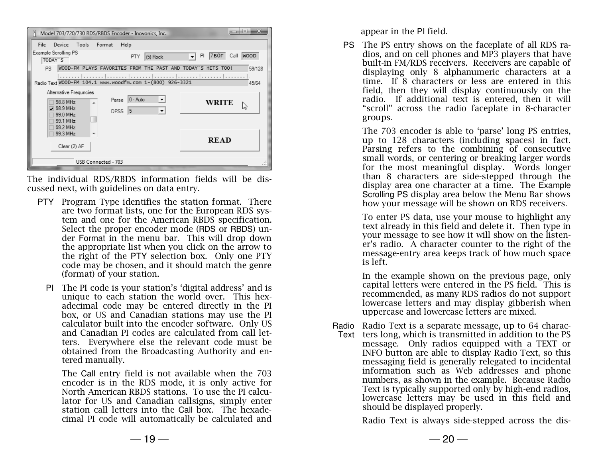| $\mathbf{X}$<br>القارص<br>Model 703/720/730 RDS/RBDS Encoder - Inovonics, Inc.                                                        |                                                   |  |  |  |  |
|---------------------------------------------------------------------------------------------------------------------------------------|---------------------------------------------------|--|--|--|--|
| Tools Format<br>Help<br>Device<br>File                                                                                                |                                                   |  |  |  |  |
| Example Scrolling PS<br><b>PTY</b><br>$(5)$ Rock<br>TODAY'S                                                                           | 7B0F<br>Call<br><b>WOOD</b><br>PI<br>$\mathbf{r}$ |  |  |  |  |
| WOOD-FM PLAYS FAVORITES FROM THE PAST AND TODAY'S HITS TOO!<br><b>PS</b>                                                              | 59/128                                            |  |  |  |  |
| .<br>Radio Text WOOD-FM 104.1 www.woodfm.com 1-(800) 926-3321                                                                         | 45/64                                             |  |  |  |  |
| Alternative Frequncies<br>$ 0 - \text{Auto} $<br>Parse<br>×<br>98.8 MHz<br><b>WRITE</b><br>□ 98.9 MHz<br>5<br><b>DPSS</b><br>99.0 MHz |                                                   |  |  |  |  |
| 99.1 MHz<br>99.2 MHz<br>99.3 MHz<br>۳<br><b>READ</b><br>Clear (2) AF                                                                  |                                                   |  |  |  |  |
| USB Connected - 703                                                                                                                   |                                                   |  |  |  |  |

The individual RDS/RBDS information fields will be discussed next, with guidelines on data entry.

- PTY Program Type identifies the station format. There are two format lists, one for the European RDS system and one for the American RBDS specification. Select the proper encoder mode (RDS or RBDS) under Format in the menu bar. This will drop down the appropriate list when you click on the arrow to the right of the PTY selection box. Only one PTY code may be chosen, and it should match the genre (format) of your station.
	- PI The PI code is your station's 'digital address' and is unique to each station the world over. This hexadecimal code may be entered directly in the PI box, or US and Canadian stations may use the PI calculator built into the encoder software. Only US and Canadian PI codes are calculated from call letters. Everywhere else the relevant code must be obtained from the Broadcasting Authority and entered manually.

The Call entry field is not available when the 703 encoder is in the RDS mode, it is only active for North American RBDS stations. To use the PI calculator for US and Canadian callsigns, simply enter station call letters into the Call box. The hexadecimal PI code will automatically be calculated and

appear in the PI field.

PS The PS entry shows on the faceplate of all RDS ra-<br>disc and an cell phanes and MP2 players that have dios, and on cell phones and MP3 players that have built-in FM/RDS receivers. Receivers are capable of displaying only 8 alphanumeric characters at a time. If 8 characters or less are entered in this field, then they will display continuously on the radio. If additional text is entered, then it will "scroll" across the radio faceplate in 8-character groups.

The 703 encoder is able to 'parse' long PS entries, up to 128 characters (including spaces) in fact. Parsing refers to the combining of consecutive small words, or centering or breaking larger words for the most meaningful display. Words longer than 8 characters are side-stepped through the display area one character at a time. The Example Scrolling PS display area below the Menu Bar shows how your message will be shown on RDS receivers.

To enter PS data, use your mouse to highlight any text already in this field and delete it. Then type in your message to see how it will show on the listener's radio. A character counter to the right of the message-entry area keeps track of how much space is left.

In the example shown on the previous page, only capital letters were entered in the PS field. This is recommended, as many RDS radios do not support lowercase letters and may display gibberish when uppercase and lowercase letters are mixed.

Radio Radio Text is a separate message, up to 64 charac-Text ters long, which is transmitted in addition to the PS message. Only radios equipped with a TEXT or INFO button are able to display Radio Text, so this messaging field is generally relegated to incidental information such as Web addresses and phone numbers, as shown in the example. Because Radio Text is typically supported only by high-end radios, lowercase letters may be used in this field and should be displayed properly.

Radio Text is always side-stepped across the dis-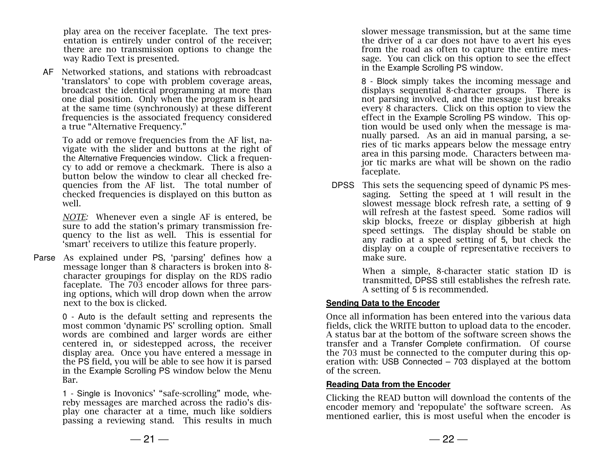play area on the receiver faceplate. The text presentation is entirely under control of the receiver; there are no transmission options to change the way Radio Text is presented.

AF Networked stations, and stations with r ebroadcast 'translators' to cope with problem coverage areas, broadcast the identical programming at more than one dial position. Only when the program is heard at the same time (synchronously) at these different frequencies is the associated frequency considered a true "Alternative Frequency."

To add or remove frequencies from the AF list, navigate with the slider and buttons at the right of the Alternative Frequencies window. Click a frequency to add or remove a checkmark. There is also a button below the window to clear all checked frequencies from the AF list. The total number of checked frequencies is displayed on this button as well.

*NOTE:* Whenever even a single AF is entered, be sure to add the station's primary transmission frequency to the list as well. This is essential for 'smart' receivers to utilize this feature properly.

Parse As explained under PS, 'parsing' defines how a message longer than 8 characters is broken into 8 character groupings for display on the RDS radio faceplate. The 703 encoder allows for three parsing options, which will drop down when the arrow next to the box is clicked.

> 0 - Auto is the default setting and represents the most common 'dynamic PS' scrolling option. Small words are combined and larger words are either centered in, or sidestepped across, the receiver display area. Once you have entered a message in the PS field, you will be able to see how it is parsed in the Example Scrolling PS window below the Menu Bar.

> 1 - Single is Inovonics' "safe-scrolling" mode, whereby messages are marched across the radio's display one character at a time, much like soldiers passing a reviewing stand. This results in much

slower message transmission, but at the same time the driver of a car does not have to avert his eyes from the road as often to capture the entire message. You can click on this option to see the effect in the Example Scrolling PS window.

8 - Block simply takes the incoming message and displays sequential 8-character groups. There is not parsing involved, and the message just breaks every 8 characters. Click on this option to view the effect in the Example Scrolling PS window. This option would be used only when the message is manually parsed. As an aid in manual parsing, a series of tic marks appears below the message entry area in this parsing mode. Characters between major tic marks are what will be shown on the radio faceplate.

DPSS This sets the sequencing speed of dynamic PS messaging. Setting the speed at 1 will result in the slowest message block refresh rate, a setting of 9 will refresh at the fastest speed. Some radios will skip blocks, freeze or display gibberish at high speed settings. The display should be stable on any radio at a speed setting of 5, but check the display on a couple of representative receivers to make sure.

> When a simple, 8-character static station ID is transmitted, DPSS still establishes the refresh rate. A setting of 5 is recommended.

#### **Sending Data to the Encoder**

Once all information has been entered into the various data fields, click the WRITE button to upload data to the encoder. A status bar at the bottom of the software screen shows the transfer and a Transfer Complete confirmation. Of course the 703 must be connected to the computer during this operation with: USB Connected – 703 displayed at the bottom of the screen.

#### **Reading Data from the Encoder**

Clicking the READ button will download the contents of the encoder memory and 'repopulate' the software screen. As mentioned earlier, this is most useful when the encoder is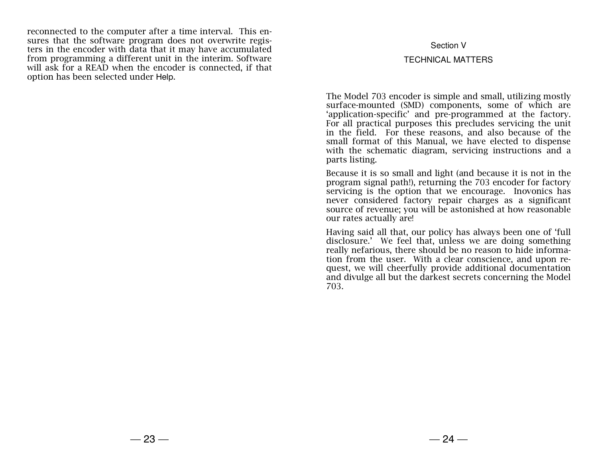reconnected to the computer after a time interval. This ensures that the software program does not overwrite registers in the encoder with data that it may have accumulated from programming a different unit in the interim. Software will ask for a READ when the encoder is connected, if that option has been selected under Help.

#### Section V

#### TECHNICAL MATTERS

The Model 703 encoder is simple and small, utilizing mostly surface-mounted (SMD) components, some of which are 'application-specific' and pre-programmed at the factory. For all practical purposes this precludes servicing the unit in the field. For these reasons, and also because of the small format of this Manual, we have elected to dispense with the schematic diagram, servicing instructions and a parts listing.

Because it is so small and light (and because it is not in the program signal path!), returning the 703 encoder for factory servicing is the option that we encourage. Inovonics has never considered factory repair charges as a significant source of revenue; you will be astonished at how reasonable our rates actually are!

Having said all that, our policy has always been one of 'full disclosure.' We feel that, unless we are doing something really nefarious, there should be no reason to hide information from the user. With a clear conscience, and upon request, we will cheerfully provide additional documentation and divulge all but the darkest secrets concerning the Model 703.